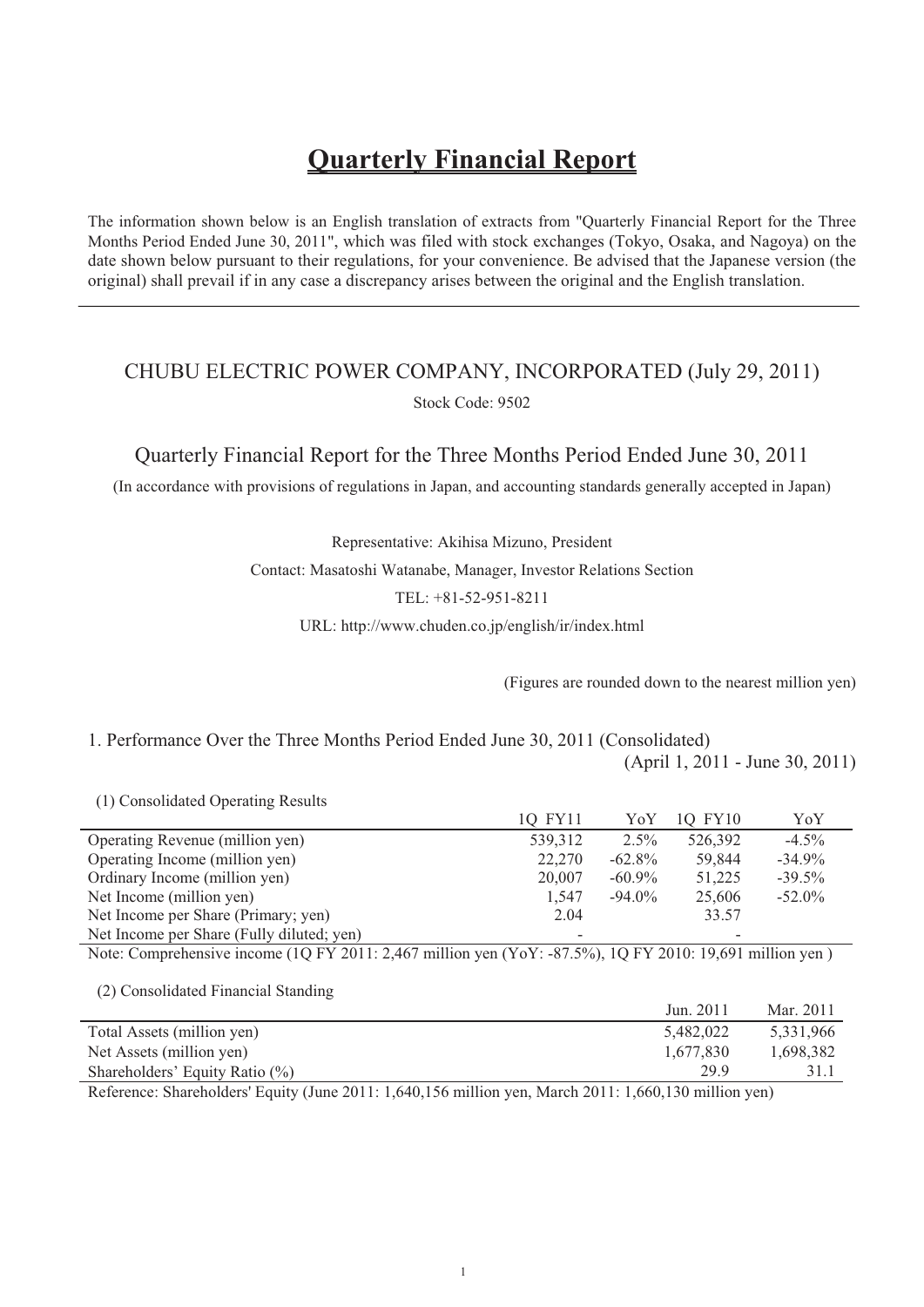# **Quarterly Financial Report**

The information shown below is an English translation of extracts from "Quarterly Financial Report for the Three Months Period Ended June 30, 2011", which was filed with stock exchanges (Tokyo, Osaka, and Nagoya) on the date shown below pursuant to their regulations, for your convenience. Be advised that the Japanese version (the original) shall prevail if in any case a discrepancy arises between the original and the English translation.

# CHUBU ELECTRIC POWER COMPANY, INCORPORATED (July 29, 2011) Stock Code: 9502

Quarterly Financial Report for the Three Months Period Ended June 30, 2011

(In accordance with provisions of regulations in Japan, and accounting standards generally accepted in Japan)

Representative: Akihisa Mizuno, President Contact: Masatoshi Watanabe, Manager, Investor Relations Section TEL: +81-52-951-8211 URL: http://www.chuden.co.jp/english/ir/index.html

(Figures are rounded down to the nearest million yen)

1. Performance Over the Three Months Period Ended June 30, 2011 (Consolidated)

(April 1, 2011 - June 30, 2011)

(1) Consolidated Operating Results

|                                           | IQ FY11 | YoY       | 1O FY10 | YoY       |
|-------------------------------------------|---------|-----------|---------|-----------|
| Operating Revenue (million yen)           | 539,312 | $2.5\%$   | 526,392 | $-4.5\%$  |
| Operating Income (million yen)            | 22,270  | $-62.8\%$ | 59.844  | $-34.9%$  |
| Ordinary Income (million yen)             | 20,007  | $-60.9\%$ | 51.225  | $-39.5%$  |
| Net Income (million yen)                  | 1.547   | $-94.0\%$ | 25,606  | $-52.0\%$ |
| Net Income per Share (Primary; yen)       | 2.04    |           | 33.57   |           |
| Net Income per Share (Fully diluted; yen) | ۰       |           |         |           |

Note: Comprehensive income (1Q FY 2011: 2,467 million yen (YoY: -87.5%), 1Q FY 2010: 19,691 million yen )

(2) Consolidated Financial Standing

|                                                             | Jun. 2011                           | Mar. 2011 |
|-------------------------------------------------------------|-------------------------------------|-----------|
| Total Assets (million yen)                                  | 5.482,022                           | 5,331,966 |
| Net Assets (million yen)                                    | 1.677.830                           | 1.698.382 |
| Shareholders' Equity Ratio $(\%)$                           | 29.9                                |           |
| $\sim$ $\sim$<br>$\sim$ 1 1 1 $\sim$ 1 $\sim$ $\sim$ $\sim$ | $\sim$ 0.44 $\sim$ 0.400 $\sim$ 111 |           |

Reference: Shareholders' Equity (June 2011: 1,640,156 million yen, March 2011: 1,660,130 million yen)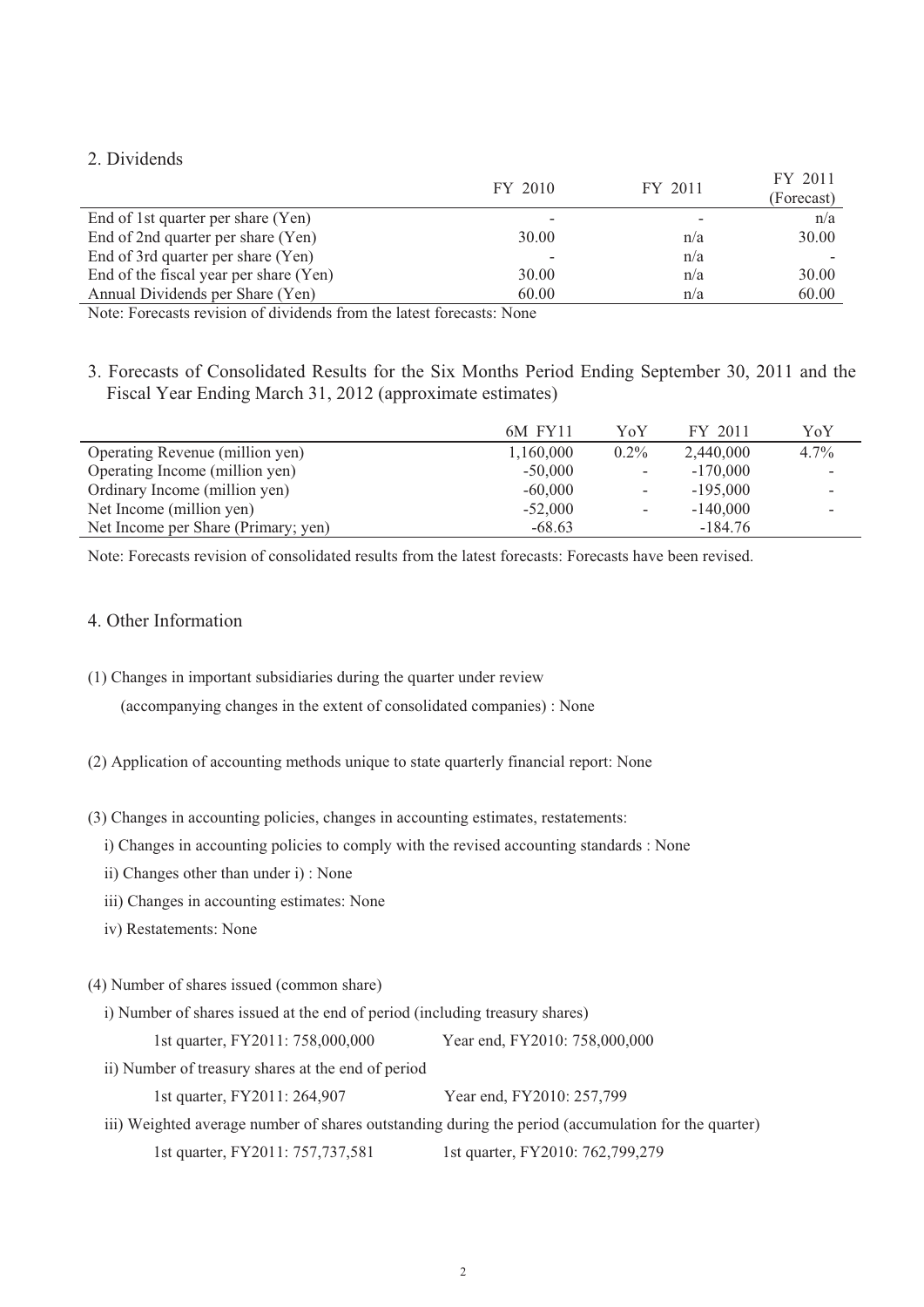### 2. Dividends

|                                        | FY 2010 | FY 2011 | FY 2011    |
|----------------------------------------|---------|---------|------------|
|                                        |         |         | (Forecast) |
| End of 1st quarter per share (Yen)     |         |         | n/a        |
| End of 2nd quarter per share (Yen)     | 30.00   | n/a     | 30.00      |
| End of 3rd quarter per share (Yen)     |         | n/a     |            |
| End of the fiscal year per share (Yen) | 30.00   | n/a     | 30.00      |
| Annual Dividends per Share (Yen)       | 60.00   | n/a     | 60.00      |
|                                        |         |         |            |

Note: Forecasts revision of dividends from the latest forecasts: None

3. Forecasts of Consolidated Results for the Six Months Period Ending September 30, 2011 and the Fiscal Year Ending March 31, 2012 (approximate estimates)

|                                     | 6M FY11   | YoY     | FY 2011    | YoY     |
|-------------------------------------|-----------|---------|------------|---------|
| Operating Revenue (million yen)     | 1,160,000 | $0.2\%$ | 2.440,000  | $4.7\%$ |
| Operating Income (million yen)      | $-50,000$ |         | $-170,000$ |         |
| Ordinary Income (million yen)       | $-60,000$ | -       | $-195,000$ |         |
| Net Income (million yen)            | $-52,000$ |         | $-140,000$ |         |
| Net Income per Share (Primary; yen) | $-68.63$  |         | $-184.76$  |         |

Note: Forecasts revision of consolidated results from the latest forecasts: Forecasts have been revised.

### 4. Other Information

- (1) Changes in important subsidiaries during the quarter under review (accompanying changes in the extent of consolidated companies) : None
- (2) Application of accounting methods unique to state quarterly financial report: None
- (3) Changes in accounting policies, changes in accounting estimates, restatements:
	- i) Changes in accounting policies to comply with the revised accounting standards : None
	- ii) Changes other than under i) : None
	- iii) Changes in accounting estimates: None
	- iv) Restatements: None
- (4) Number of shares issued (common share)
	- i) Number of shares issued at the end of period (including treasury shares) 1st quarter, FY2011: 758,000,000 Year end, FY2010: 758,000,000
	- ii) Number of treasury shares at the end of period 1st quarter, FY2011: 264,907 Year end, FY2010: 257,799
	- iii) Weighted average number of shares outstanding during the period (accumulation for the quarter) 1st quarter, FY2011: 757,737,581 1st quarter, FY2010: 762,799,279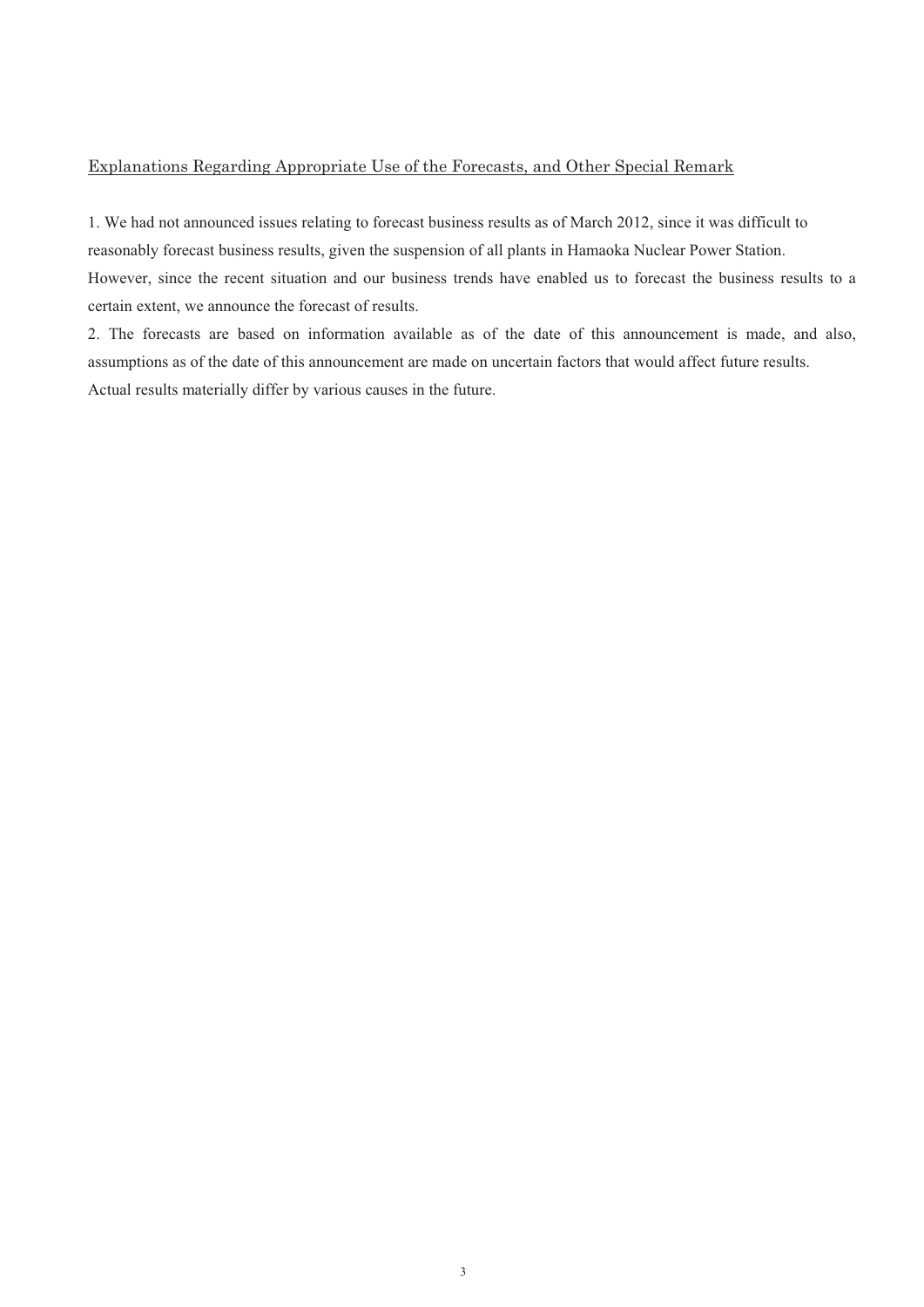#### Explanations Regarding Appropriate Use of the Forecasts, and Other Special Remark

1. We had not announced issues relating to forecast business results as of March 2012, since it was difficult to reasonably forecast business results, given the suspension of all plants in Hamaoka Nuclear Power Station. However, since the recent situation and our business trends have enabled us to forecast the business results to a certain extent, we announce the forecast of results.

2. The forecasts are based on information available as of the date of this announcement is made, and also, assumptions as of the date of this announcement are made on uncertain factors that would affect future results. Actual results materially differ by various causes in the future.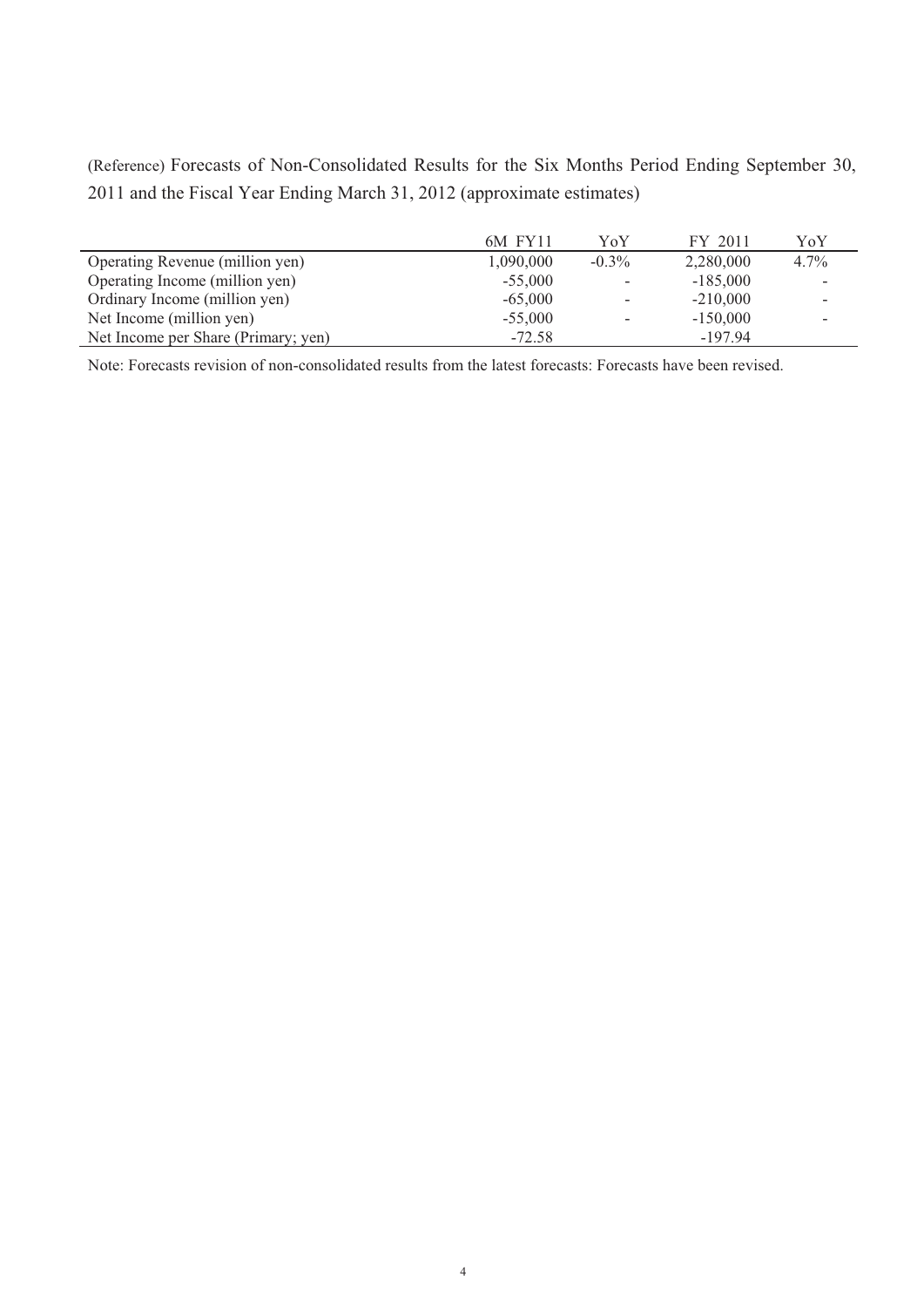(Reference) Forecasts of Non-Consolidated Results for the Six Months Period Ending September 30, 2011 and the Fiscal Year Ending March 31, 2012 (approximate estimates)

|                                     | 6M FY11   | YoY                      | FY 2011    | YoY                      |
|-------------------------------------|-----------|--------------------------|------------|--------------------------|
| Operating Revenue (million yen)     | 1,090,000 | $-0.3\%$                 | 2,280,000  | $4.7\%$                  |
| Operating Income (million yen)      | $-55,000$ | $\overline{\phantom{a}}$ | $-185,000$ |                          |
| Ordinary Income (million yen)       | $-65,000$ | $\overline{\phantom{a}}$ | $-210,000$ | -                        |
| Net Income (million yen)            | $-55,000$ | $\overline{\phantom{a}}$ | $-150,000$ | $\overline{\phantom{a}}$ |
| Net Income per Share (Primary; yen) | $-72.58$  |                          | $-197.94$  |                          |

Note: Forecasts revision of non-consolidated results from the latest forecasts: Forecasts have been revised.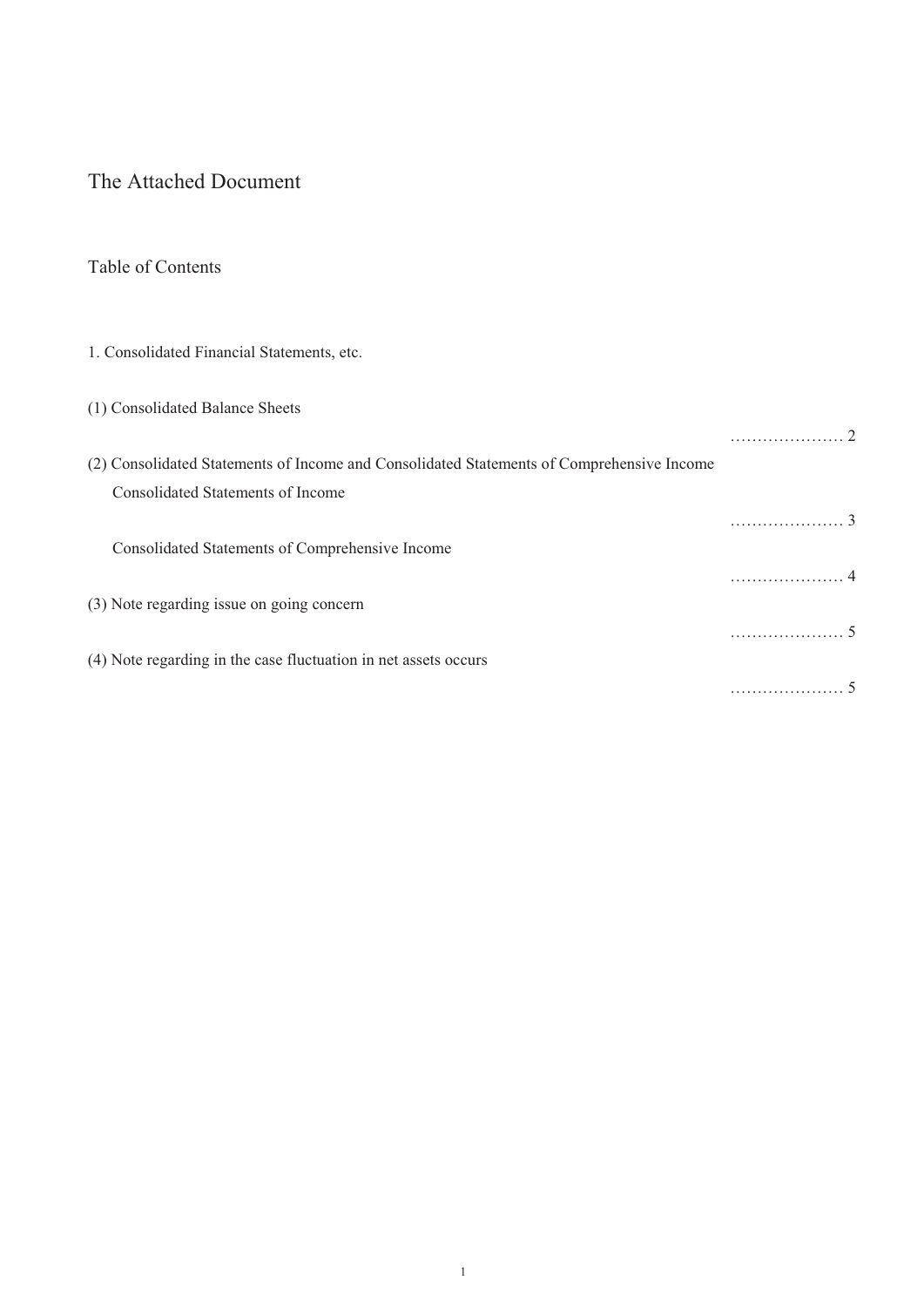# The Attached Document

### Table of Contents

## 1. Consolidated Financial Statements, etc.

| (1) Consolidated Balance Sheets                                                           |  |
|-------------------------------------------------------------------------------------------|--|
|                                                                                           |  |
| (2) Consolidated Statements of Income and Consolidated Statements of Comprehensive Income |  |
| Consolidated Statements of Income                                                         |  |
|                                                                                           |  |
| Consolidated Statements of Comprehensive Income                                           |  |
|                                                                                           |  |
| (3) Note regarding issue on going concern                                                 |  |
|                                                                                           |  |
| (4) Note regarding in the case fluctuation in net assets occurs                           |  |
|                                                                                           |  |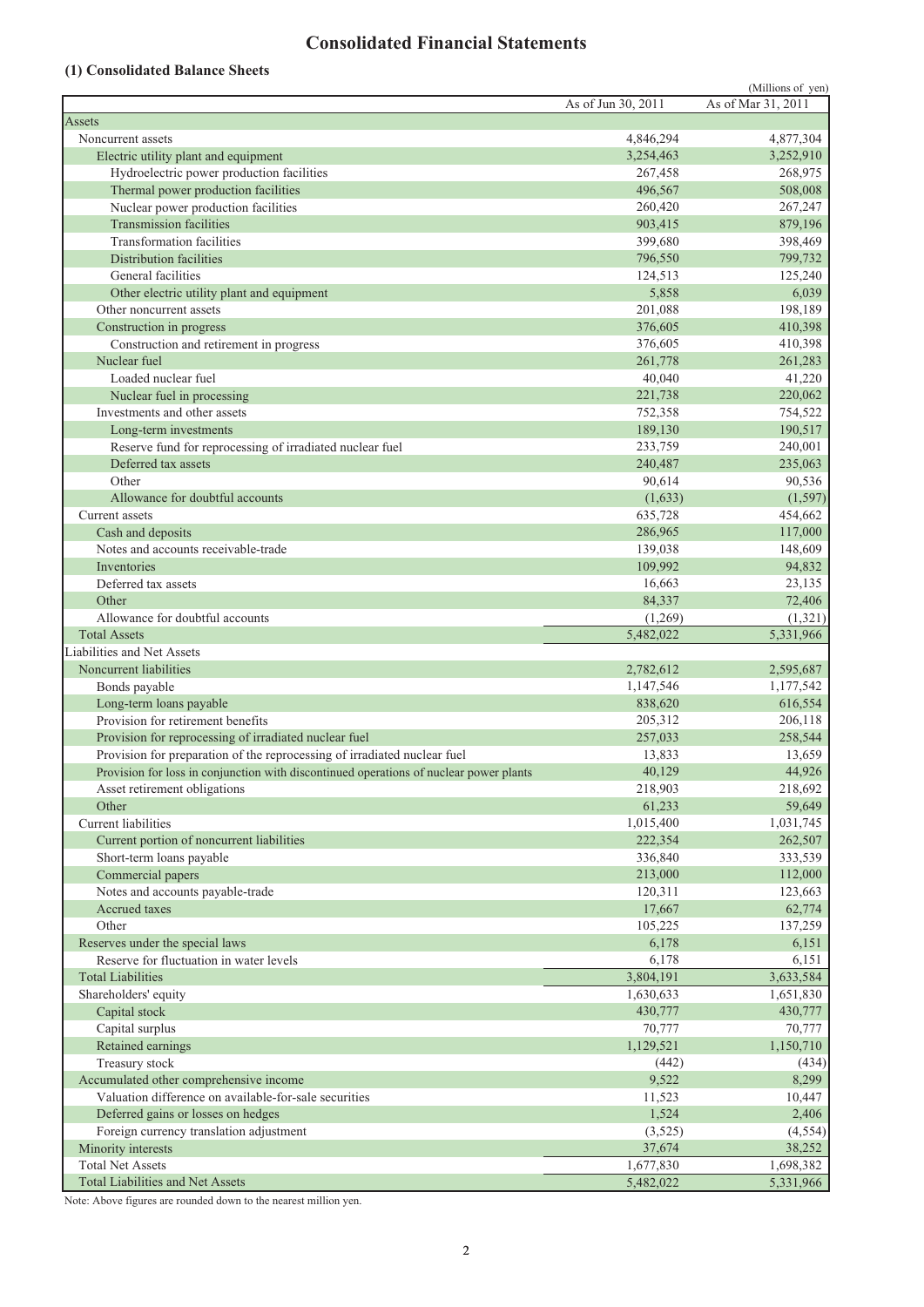# **Consolidated Financial Statements**

### **(1) Consolidated Balance Sheets**

|                                                                                        |                    | (Millions of yen)  |
|----------------------------------------------------------------------------------------|--------------------|--------------------|
|                                                                                        | As of Jun 30, 2011 | As of Mar 31, 2011 |
| Assets                                                                                 |                    |                    |
| Noncurrent assets                                                                      | 4,846,294          | 4,877,304          |
| Electric utility plant and equipment                                                   | 3,254,463          | 3,252,910          |
| Hydroelectric power production facilities                                              | 267,458            | 268,975            |
| Thermal power production facilities                                                    | 496,567            | 508,008            |
| Nuclear power production facilities                                                    | 260,420            | 267,247            |
| <b>Transmission facilities</b>                                                         | 903,415            | 879,196            |
| <b>Transformation facilities</b>                                                       | 399,680            | 398,469            |
| Distribution facilities                                                                | 796,550            | 799,732            |
| General facilities                                                                     | 124,513            | 125,240            |
| Other electric utility plant and equipment                                             | 5,858              | 6,039              |
| Other noncurrent assets                                                                | 201,088            | 198,189            |
| Construction in progress                                                               | 376,605            | 410,398            |
| Construction and retirement in progress                                                | 376,605            | 410,398            |
| Nuclear fuel                                                                           | 261,778            | 261,283            |
| Loaded nuclear fuel                                                                    | 40,040             | 41,220             |
| Nuclear fuel in processing                                                             | 221,738            | 220,062            |
| Investments and other assets                                                           | 752,358            | 754,522            |
| Long-term investments                                                                  | 189,130            | 190,517            |
| Reserve fund for reprocessing of irradiated nuclear fuel                               | 233,759            | 240,001            |
| Deferred tax assets                                                                    | 240,487            | 235,063            |
| Other                                                                                  | 90,614             | 90,536             |
| Allowance for doubtful accounts                                                        | (1,633)            | (1, 597)           |
| Current assets                                                                         | 635,728            | 454,662            |
| Cash and deposits<br>Notes and accounts receivable-trade                               | 286,965            | 117,000            |
|                                                                                        | 139,038<br>109,992 | 148,609            |
| Inventories                                                                            |                    | 94,832             |
| Deferred tax assets<br>Other                                                           | 16,663<br>84,337   | 23,135<br>72,406   |
| Allowance for doubtful accounts                                                        | (1,269)            | (1,321)            |
| <b>Total Assets</b>                                                                    | 5,482,022          | 5,331,966          |
| Liabilities and Net Assets                                                             |                    |                    |
| Noncurrent liabilities                                                                 | 2,782,612          | 2,595,687          |
| Bonds payable                                                                          | 1,147,546          | 1,177,542          |
| Long-term loans payable                                                                | 838,620            | 616,554            |
| Provision for retirement benefits                                                      | 205,312            | 206,118            |
| Provision for reprocessing of irradiated nuclear fuel                                  | 257,033            | 258,544            |
| Provision for preparation of the reprocessing of irradiated nuclear fuel               | 13,833             | 13,659             |
| Provision for loss in conjunction with discontinued operations of nuclear power plants | 40,129             | 44,926             |
| Asset retirement obligations                                                           | 218,903            | 218,692            |
| Other                                                                                  | 61,233             | 59,649             |
| Current liabilities                                                                    | 1,015,400          | 1,031,745          |
| Current portion of noncurrent liabilities                                              | 222,354            | 262,507            |
| Short-term loans payable                                                               | 336,840            | 333,539            |
| Commercial papers                                                                      | 213,000            | 112,000            |
| Notes and accounts payable-trade                                                       | 120,311            | 123,663            |
| Accrued taxes                                                                          | 17,667             | 62,774             |
| Other                                                                                  | 105,225            | 137,259            |
| Reserves under the special laws                                                        | 6,178              | 6,151              |
| Reserve for fluctuation in water levels                                                | 6,178              | 6,151              |
| <b>Total Liabilities</b>                                                               | 3,804,191          | 3,633,584          |
| Shareholders' equity                                                                   | 1,630,633          | 1,651,830          |
| Capital stock                                                                          | 430,777            | 430,777            |
| Capital surplus                                                                        | 70,777             | 70,777             |
| Retained earnings                                                                      | 1,129,521          | 1,150,710          |
| Treasury stock                                                                         | (442)              | (434)              |
| Accumulated other comprehensive income                                                 | 9,522              | 8,299              |
| Valuation difference on available-for-sale securities                                  | 11,523             | 10,447             |
| Deferred gains or losses on hedges                                                     | 1,524              | 2,406              |
| Foreign currency translation adjustment                                                | (3,525)            | (4, 554)           |
| Minority interests                                                                     | 37,674             | 38,252             |
| <b>Total Net Assets</b>                                                                | 1,677,830          | 1,698,382          |
| <b>Total Liabilities and Net Assets</b>                                                | 5,482,022          | 5,331,966          |

Note: Above figures are rounded down to the nearest million yen.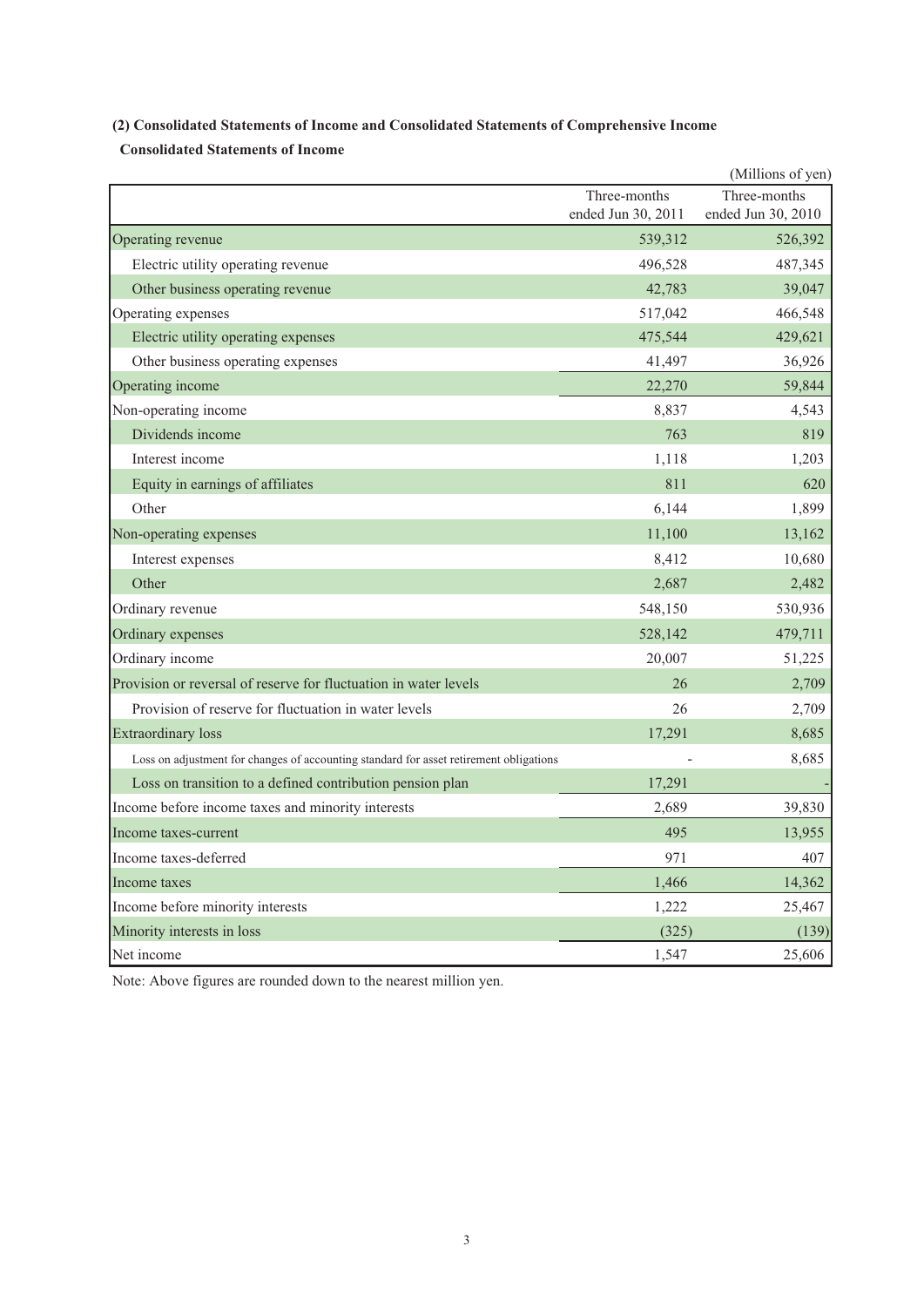# **(2) Consolidated Statements of Income and Consolidated Statements of Comprehensive Income**

 **Consolidated Statements of Income**

|                                                                                        |                    | (Millions of yen)  |
|----------------------------------------------------------------------------------------|--------------------|--------------------|
|                                                                                        | Three-months       | Three-months       |
|                                                                                        | ended Jun 30, 2011 | ended Jun 30, 2010 |
| Operating revenue                                                                      | 539,312            | 526,392            |
| Electric utility operating revenue                                                     | 496,528            | 487,345            |
| Other business operating revenue                                                       | 42,783             | 39,047             |
| Operating expenses                                                                     | 517,042            | 466,548            |
| Electric utility operating expenses                                                    | 475,544            | 429,621            |
| Other business operating expenses                                                      | 41,497             | 36,926             |
| Operating income                                                                       | 22,270             | 59,844             |
| Non-operating income                                                                   | 8,837              | 4,543              |
| Dividends income                                                                       | 763                | 819                |
| Interest income                                                                        | 1,118              | 1,203              |
| Equity in earnings of affiliates                                                       | 811                | 620                |
| Other                                                                                  | 6,144              | 1,899              |
| Non-operating expenses                                                                 | 11,100             | 13,162             |
| Interest expenses                                                                      | 8,412              | 10,680             |
| Other                                                                                  | 2,687              | 2,482              |
| Ordinary revenue                                                                       | 548,150            | 530,936            |
| Ordinary expenses                                                                      | 528,142            | 479,711            |
| Ordinary income                                                                        | 20,007             | 51,225             |
| Provision or reversal of reserve for fluctuation in water levels                       | 26                 | 2,709              |
| Provision of reserve for fluctuation in water levels                                   | 26                 | 2,709              |
| <b>Extraordinary loss</b>                                                              | 17,291             | 8,685              |
| Loss on adjustment for changes of accounting standard for asset retirement obligations |                    | 8,685              |
| Loss on transition to a defined contribution pension plan                              | 17,291             |                    |
| Income before income taxes and minority interests                                      | 2.689              | 39,830             |
| Income taxes-current                                                                   | 495                | 13,955             |
| Income taxes-deferred                                                                  | 971                | 407                |
| Income taxes                                                                           | 1,466              | 14,362             |
| Income before minority interests                                                       | 1,222              | 25,467             |
| Minority interests in loss                                                             | (325)              | (139)              |
| Net income                                                                             | 1,547              | 25,606             |

Note: Above figures are rounded down to the nearest million yen.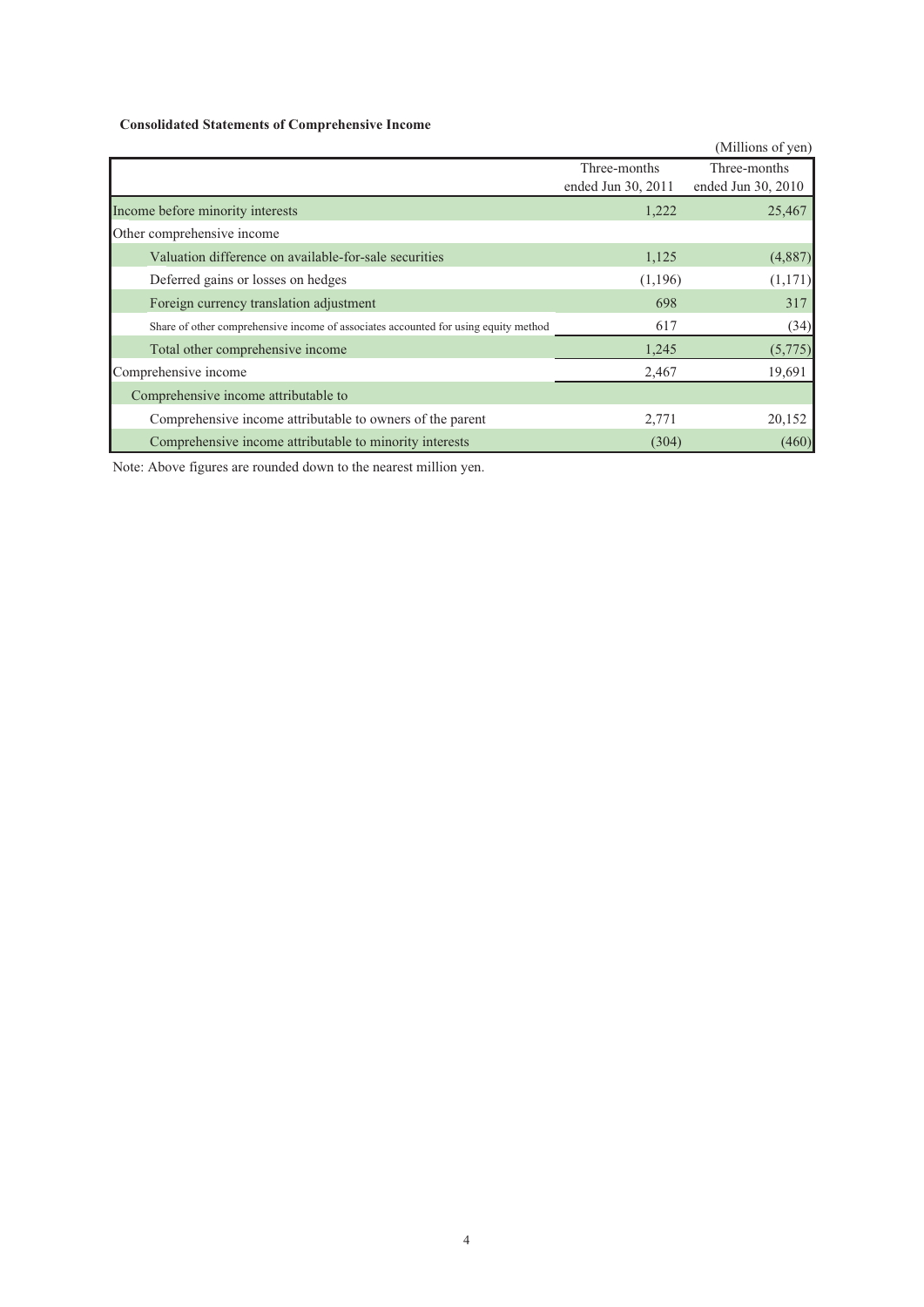### **Consolidated Statements of Comprehensive Income**

|                                                                                     |                    | (Millions of yen)  |
|-------------------------------------------------------------------------------------|--------------------|--------------------|
|                                                                                     | Three-months       | Three-months       |
|                                                                                     | ended Jun 30, 2011 | ended Jun 30, 2010 |
| Income before minority interests                                                    | 1,222              | 25,467             |
| Other comprehensive income                                                          |                    |                    |
| Valuation difference on available-for-sale securities                               | 1,125              | (4,887)            |
| Deferred gains or losses on hedges                                                  | (1,196)            | (1,171)            |
| Foreign currency translation adjustment                                             | 698                | 317                |
| Share of other comprehensive income of associates accounted for using equity method | 617                | (34)               |
| Total other comprehensive income                                                    | 1,245              | (5,775)            |
| Comprehensive income                                                                | 2,467              | 19,691             |
| Comprehensive income attributable to                                                |                    |                    |
| Comprehensive income attributable to owners of the parent                           | 2,771              | 20,152             |
| Comprehensive income attributable to minority interests                             | (304)              | (460)              |

Note: Above figures are rounded down to the nearest million yen.